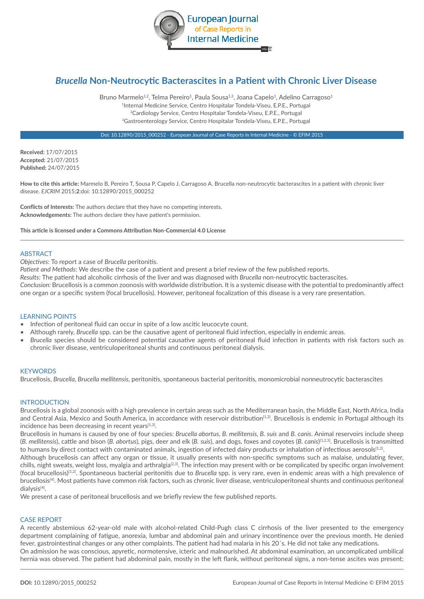

# *Brucella* **Non-Neutrocytic Bacterascites in a Patient with Chronic Liver Disease**

Bruno Marmelo<sup>1,2</sup>, Telma Pereiro<sup>1</sup>, Paula Sousa<sup>1,3</sup>, Joana Capelo<sup>1</sup>, Adelino Carragoso<sup>1</sup> 1Internal Medicine Service, Centro Hospitalar Tondela-Viseu, E.P.E., Portugal 2Cardiology Service, Centro Hospitalar Tondela-Viseu, E.P.E., Portugal 3Gastroenterology Service, Centro Hospitalar Tondela-Viseu, E.P.E., Portugal

Doi: 10.12890/2015\_000252 - European Journal of Case Reports in Internal Medicine - © EFIM 2015

**Received:** 17/07/2015 **Accepted:** 21/07/2015 **Published:** 24/07/2015

**How to cite this article:** Marmelo B, Pereiro T, Sousa P, Capelo J, Carragoso A. Brucella non-neutrocytic bacterascites in a patient with chronic liver disease. *EJCRIM* 2015;**2**:doi: 10.12890/2015\_000252

**Conflicts of Interests:** The authors declare that they have no competing interests. **Acknowledgements:** The authors declare they have patient's permission.

**This article is licensed under a Commons Attribution Non-Commercial 4.0 License**

### **ARSTRACT**

*Objectives:* To report a case of *Brucella* peritonitis.

*Patient and Methods*: We describe the case of a patient and present a brief review of the few published reports.

*Results:* The patient had alcoholic cirrhosis of the liver and was diagnosed with *Brucella* non-neutrocytic bacterascites.

*Conclusion:* Brucellosis is a common zoonosis with worldwide distribution. It is a systemic disease with the potential to predominantly affect one organ or a specific system (focal brucellosis). However, peritoneal focalization of this disease is a very rare presentation.

#### LEARNING POINTS

- Infection of peritoneal fluid can occur in spite of a low ascitic leucocyte count.
- Although rarely, *Brucella* spp. can be the causative agent of peritoneal fluid infection, especially in endemic areas.
- *Brucella* species should be considered potential causative agents of peritoneal fluid infection in patients with risk factors such as chronic liver disease, ventriculoperitoneal shunts and continuous peritoneal dialysis.

## **KEYWORDS**

Brucellosis, *Brucella, Brucella mellitensis*, peritonitis, spontaneous bacterial peritonitis, monomicrobial nonneutrocytic bacterascites

#### INTRODUCTION

Brucellosis is a global zoonosis with a high prevalence in certain areas such as the Mediterranean basin, the Middle East, North Africa, India and Central Asia, Mexico and South America, in accordance with reservoir distribution<sup>[1,2]</sup>. Brucellosis is endemic in Portugal although its incidence has been decreasing in recent years $[1,3]$ .

Brucellosis in humans is caused by one of four species: *Brucella abortus, B. mellitensis, B. suis* and *B. canis*. Animal reservoirs include sheep (*B. mellitensis*), cattle and bison (*B. abortus*), pigs, deer and elk (*B. suis*), and dogs, foxes and coyotes (*B. canis*) [1,2,3]. Brucellosis is transmitted to humans by direct contact with contaminated animals, ingestion of infected dairy products or inhalation of infectious aerosols<sup>[1,2]</sup>.

Although brucellosis can affect any organ or tissue, it usually presents with non-specific symptoms such as malaise, undulating fever, chills, night sweats, weight loss, myalgia and arthralgia<sup>[2,3]</sup>. The infection may present with or be complicated by specific organ involvement (focal brucellosis)[1,2]. Spontaneous bacterial peritonitis due to *Brucella* spp. is very rare, even in endemic areas with a high prevalence of brucellosis[4]. Most patients have common risk factors, such as chronic liver disease, ventriculoperitoneal shunts and continuous peritoneal dialysis[4].

We present a case of peritoneal brucellosis and we briefly review the few published reports.

# CASE REPORT

A recently abstemious 62-year-old male with alcohol-related Child-Pugh class C cirrhosis of the liver presented to the emergency department complaining of fatigue, anorexia, lumbar and abdominal pain and urinary incontinence over the previous month. He denied fever, gastrointestinal changes or any other complaints. The patient had had malaria in his 20´s. He did not take any medications. On admission he was conscious, apyretic, normotensive, icteric and malnourished. At abdominal examination, an uncomplicated umbilical

hernia was observed. The patient had abdominal pain, mostly in the left flank, without peritoneal signs, a non-tense ascites was present;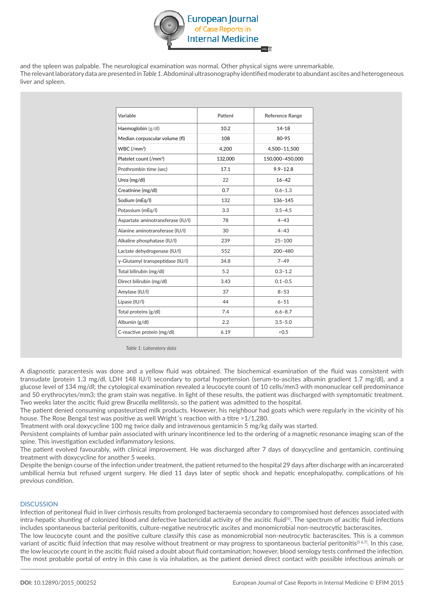

and the spleen was palpable. The neurological examination was normal. Other physical signs were unremarkable. The relevant laboratory data are presented in *Table 1.* Abdominal ultrasonography identified moderate to abundant ascites and heterogeneous liver and spleen.

| Variable                           | Patient | <b>Reference Range</b> |
|------------------------------------|---------|------------------------|
| Haemoglobin (g/dl)                 | 10.2    | $14 - 18$              |
| Median corpuscular volume (fl)     | 108     | 80-95                  |
| $WBC$ (/mm <sup>3</sup> )          | 4,200   | 4,500-11,500           |
| Platelet count (/mm <sup>3</sup> ) | 132.000 | 150.000-450.000        |
| Prothrombin time (sec)             | 17.1    | $9.9 - 12.8$           |
| Urea (mg/dl)                       | 22      | $16 - 42$              |
| Creatinine (mg/dl)                 | 0.7     | $0.6 - 1.3$            |
| Sodium (mEq/l)                     | 132     | 136-145                |
| Potassium (mEg/l)                  | 3.3     | $3.5 - 4.5$            |
| Aspartate aminotransferase (IU/I)  | 78      | $4 - 43$               |
| Alanine aminotransferase (IU/I)    | 30      | $4 - 43$               |
| Alkaline phosphatase (IU/I)        | 239     | $25 - 100$             |
| Lactate dehydrogenase (IU/I)       | 552     | $200 - 480$            |
| γ-Glutamyl transpeptidase (IU/I)   | 34.8    | $7 - 49$               |
| Total bilirubin (mg/dl)            | 5.2     | $0.3 - 1.2$            |
| Direct bilirubin (mg/dl)           | 3.43    | $0.1 - 0.5$            |
| Amylase (IU/I)                     | 37      | $8 - 53$               |
| Lipase (IU/I)                      | 44      | $6 - 51$               |
| Total proteins (g/dl)              | 7.4     | $6.6 - 8.7$            |
| Albumin (g/dl)                     | 2.2     | $3.5 - 5.0$            |
| C-reactive protein (mg/dl)         | 6.19    | < 0.5                  |

*Table 1: Laboratory data*

A diagnostic paracentesis was done and a yellow fluid was obtained. The biochemical examination of the fluid was consistent with transudate (protein 1.3 mg/dl, LDH 148 IU/l) secondary to portal hypertension (serum-to-ascites albumin gradient 1.7 mg/dl), and a glucose level of 134 mg/dl; the cytological examination revealed a leucocyte count of 10 cells/mm3 with mononuclear cell predominance and 50 erythrocytes/mm3; the gram stain was negative. In light of these results, the patient was discharged with symptomatic treatment. Two weeks later the ascitic fluid grew *Brucella mellitensis*, so the patient was admitted to the hospital.

The patient denied consuming unpasteurized milk products. However, his neighbour had goats which were regularly in the vicinity of his house. The Rose Bengal test was positive as well Wright's reaction with a titre >1/1,280.

Treatment with oral doxycycline 100 mg twice daily and intravenous gentamicin 5 mg/kg daily was started.

Persistent complaints of lumbar pain associated with urinary incontinence led to the ordering of a magnetic resonance imaging scan of the spine. This investigation excluded inflammatory lesions.

The patient evolved favourably, with clinical improvement. He was discharged after 7 days of doxycycline and gentamicin, continuing treatment with doxycycline for another 5 weeks.

Despite the benign course of the infection under treatment, the patient returned to the hospital 29 days after discharge with an incarcerated umbilical hernia but refused urgent surgery. He died 11 days later of septic shock and hepatic encephalopathy, complications of his previous condition.

# **DISCUSSION**

Infection of peritoneal fluid in liver cirrhosis results from prolonged bacteraemia secondary to compromised host defences associated with intra-hepatic shunting of colonized blood and defective bactericidal activity of the ascitic fluid<sup>[5]</sup>. The spectrum of ascitic fluid infections includes spontaneous bacterial peritonitis, culture-negative neutrocytic ascites and monomicrobial non-neutrocytic bacterascites.

The low leucocyte count and the positive culture classify this case as monomicrobial non-neutrocytic bacterascites. This is a common variant of ascitic fluid infection that may resolve without treatment or may progress to spontaneous bacterial peritonitis<sup>[5 6,7]</sup>. In this case, the low leucocyte count in the ascitic fluid raised a doubt about fluid contamination; however, blood serology tests confirmed the infection. The most probable portal of entry in this case is via inhalation, as the patient denied direct contact with possible infectious animals or